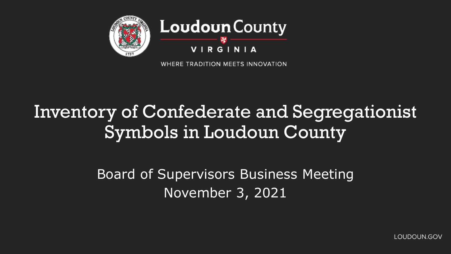

WHERE TRADITION MEETS INNOVATION

## Inventory of Confederate and Segregationist Symbols in Loudoun County

Board of Supervisors Business Meeting November 3, 2021

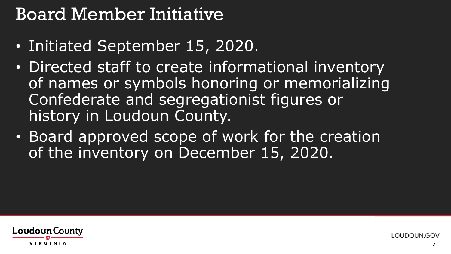### Board Member Initiative

- Initiated September 15, 2020.
- Directed staff to create informational inventory of names or symbols honoring or memorializing Confederate and segregationist figures or history in Loudoun County.
- Board approved scope of work for the creation of the inventory on December 15, 2020.

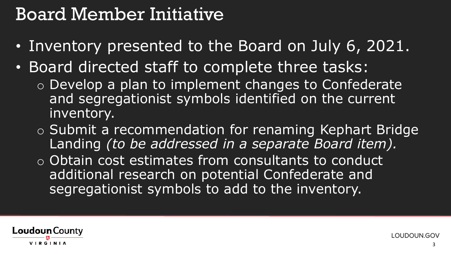### Board Member Initiative

- Inventory presented to the Board on July 6, 2021.
- Board directed staff to complete three tasks:
	- o Develop a plan to implement changes to Confederate and segregationist symbols identified on the current inventory.
	- o Submit a recommendation for renaming Kephart Bridge Landing *(to be addressed in a separate Board item).*
	- o Obtain cost estimates from consultants to conduct additional research on potential Confederate and segregationist symbols to add to the inventory.

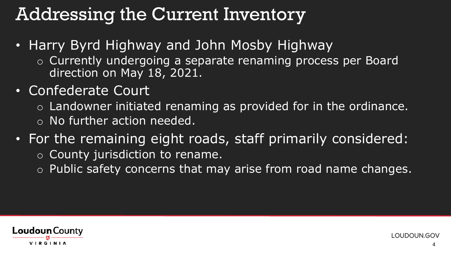- Harry Byrd Highway and John Mosby Highway
	- o Currently undergoing a separate renaming process per Board direction on May 18, 2021.
- Confederate Court
	- $\circ$  Landowner initiated renaming as provided for in the ordinance.
	- o No further action needed.
- For the remaining eight roads, staff primarily considered:
	- o County jurisdiction to rename.
	- o Public safety concerns that may arise from road name changes.

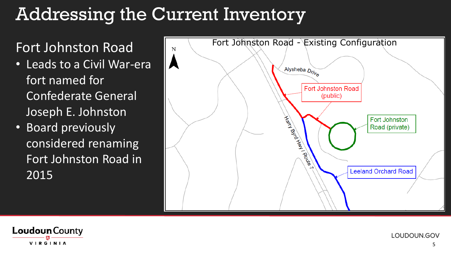- Leads to a Civil War-era fort named for Confederate General Joseph E. Johnston
- Board previously considered renaming Fort Johnston Road in 2015



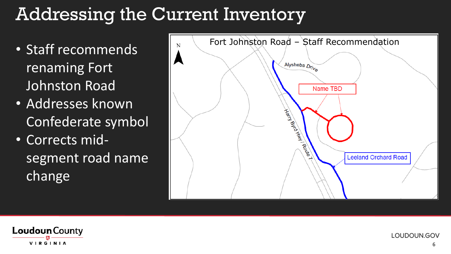- Staff recommends renaming Fort Johnston Road
- Addresses known Confederate symbol
- Corrects midsegment road name change



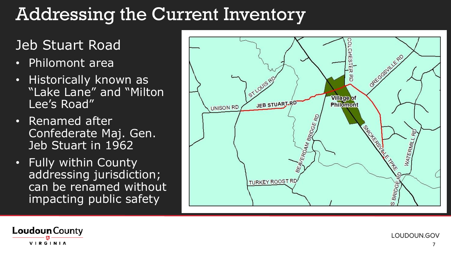#### Jeb Stuart Road

- Philomont area
- Historically known as "Lake Lane" and "Milton Lee's Road"
- Renamed after Confederate Maj. Gen. Jeb Stuart in 1962
- Fully within County addressing jurisdiction; can be renamed without impacting public safety



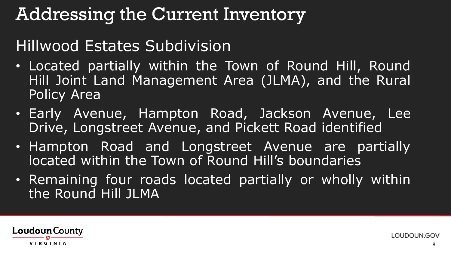#### Hillwood Estates Subdivision

- Located partially within the Town of Round Hill, Round Hill Joint Land Management Area (JLMA), and the Rural Policy Area
- Early Avenue, Hampton Road, Jackson Avenue, Lee Drive, Longstreet Avenue, and Pickett Road identified
- Hampton Road and Longstreet Avenue are partially located within the Town of Round Hill's boundaries
- Remaining four roads located partially or wholly within the Round Hill JLMA

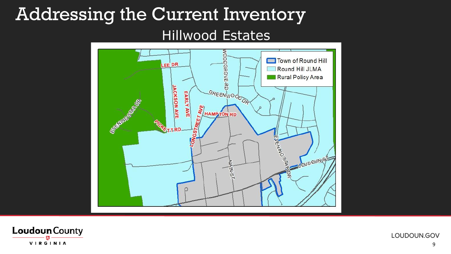#### Addressing the Current Inventory Hillwood Estates



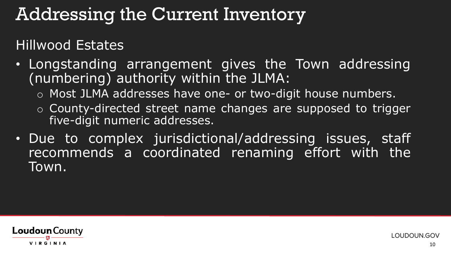Hillwood Estates

- Longstanding arrangement gives the Town addressing (numbering) authority within the JLMA:
	- o Most JLMA addresses have one- or two-digit house numbers.
	- o County-directed street name changes are supposed to trigger five-digit numeric addresses.
- Due to complex jurisdictional/addressing issues, staff recommends a coordinated renaming effort with the Town.

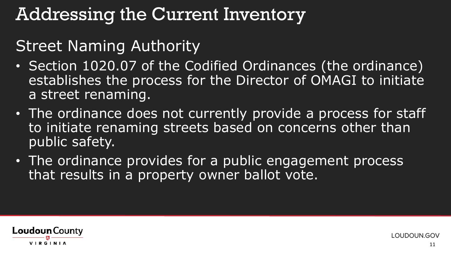#### Street Naming Authority

- Section 1020.07 of the Codified Ordinances (the ordinance) establishes the process for the Director of OMAGI to initiate a street renaming.
- The ordinance does not currently provide a process for staff to initiate renaming streets based on concerns other than public safety.
- The ordinance provides for a public engagement process that results in a property owner ballot vote.

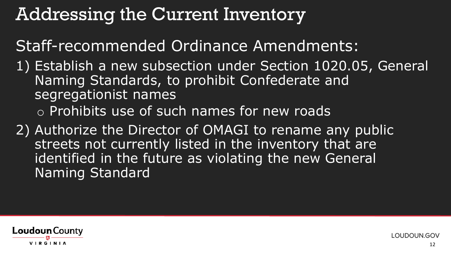Staff-recommended Ordinance Amendments:

- 1) Establish a new subsection under Section 1020.05, General Naming Standards, to prohibit Confederate and segregationist names o Prohibits use of such names for new roads
- 2) Authorize the Director of OMAGI to rename any public streets not currently listed in the inventory that are identified in the future as violating the new General Naming Standard

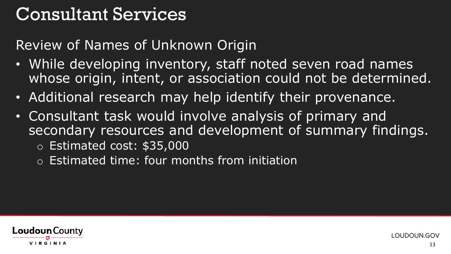### Consultant Services

Review of Names of Unknown Origin

- While developing inventory, staff noted seven road names whose origin, intent, or association could not be determined.
- Additional research may help identify their provenance.
- Consultant task would involve analysis of primary and secondary resources and development of summary findings.
	- o Estimated cost: \$35,000
	- o Estimated time: four months from initiation

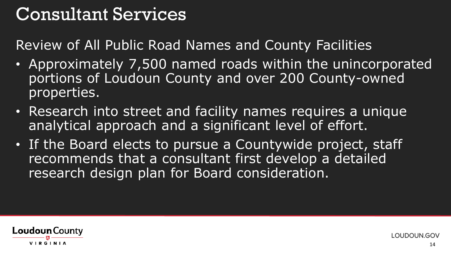### Consultant Services

Review of All Public Road Names and County Facilities

- Approximately 7,500 named roads within the unincorporated portions of Loudoun County and over 200 County-owned properties.
- Research into street and facility names requires a unique analytical approach and a significant level of effort.
- If the Board elects to pursue a Countywide project, staff recommends that a consultant first develop a detailed research design plan for Board consideration.

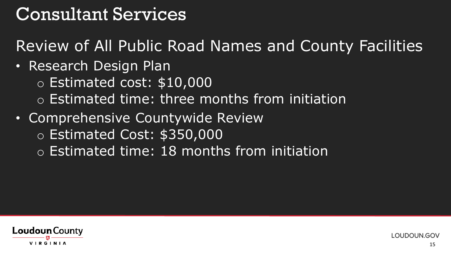### Consultant Services

Review of All Public Road Names and County Facilities

- Research Design Plan
	- o Estimated cost: \$10,000
	- o Estimated time: three months from initiation
- Comprehensive Countywide Review o Estimated Cost: \$350,000
	- o Estimated time: 18 months from initiation

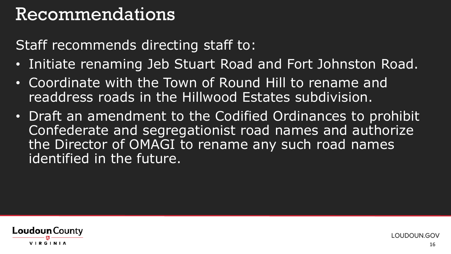### Recommendations

Staff recommends directing staff to:

- Initiate renaming Jeb Stuart Road and Fort Johnston Road.
- Coordinate with the Town of Round Hill to rename and readdress roads in the Hillwood Estates subdivision.
- Draft an amendment to the Codified Ordinances to prohibit Confederate and segregationist road names and authorize the Director of OMAGI to rename any such road names identified in the future.